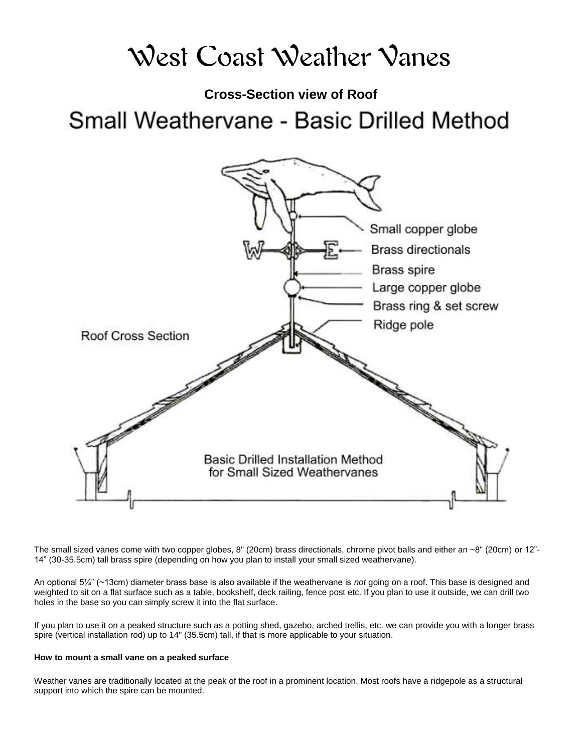# West Coast Weather Vanes

**Cross-Section view of Roof** Small Weathervane - Basic Drilled Method



The small sized vanes come with two copper globes, 8" (20cm) brass directionals, chrome pivot balls and either an ~8" (20cm) or 12"- 14" (30-35.5cm) tall brass spire (depending on how you plan to install your small sized weathervane).

An optional 5¼" (~13cm) diameter brass base is also available if the weathervane is *not* going on a roof. This base is designed and weighted to sit on a flat surface such as a table, bookshelf, deck railing, fence post etc. If you plan to use it outside, we can drill two holes in the base so you can simply screw it into the flat surface.

If you plan to use it on a peaked structure such as a potting shed, gazebo, arched trellis, etc. we can provide you with a longer brass spire (vertical installation rod) up to 14" (35.5cm) tall, if that is more applicable to your situation.

#### **How to mount a small vane on a peaked surface**

Weather vanes are traditionally located at the peak of the roof in a prominent location. Most roofs have a ridgepole as a structural support into which the spire can be mounted.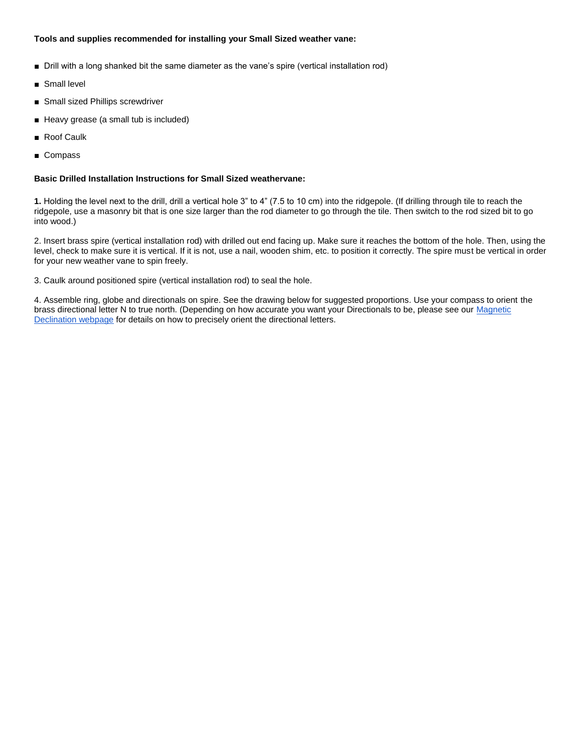### **Tools and supplies recommended for installing your Small Sized weather vane:**

- Drill with a long shanked bit the same diameter as the vane's spire (vertical installation rod)
- Small level
- Small sized Phillips screwdriver
- Heavy grease (a small tub is included)
- Roof Caulk
- Compass

### **Basic Drilled Installation Instructions for Small Sized weathervane:**

**1.** Holding the level next to the drill, drill a vertical hole 3" to 4" (7.5 to 10 cm) into the ridgepole. (If drilling through tile to reach the ridgepole, use a masonry bit that is one size larger than the rod diameter to go through the tile. Then switch to the rod sized bit to go into wood.)

2. Insert brass spire (vertical installation rod) with drilled out end facing up. Make sure it reaches the bottom of the hole. Then, using the level, check to make sure it is vertical. If it is not, use a nail, wooden shim, etc. to position it correctly. The spire must be vertical in order for your new weather vane to spin freely.

3. Caulk around positioned spire (vertical installation rod) to seal the hole.

4. Assemble ring, globe and directionals on spire. See the drawing below for suggested proportions. Use your compass to orient the brass directional letter N to true north. (Depending on how accurate you want your Directionals to be, please see our Magnetic [Declination webpage](https://docs.google.com/document/d/1TRj8aey_fZf0VIEQcozdIMr0A0O1hB3DT4UL1RYOTpU/edit) for details on how to precisely orient the directional letters.